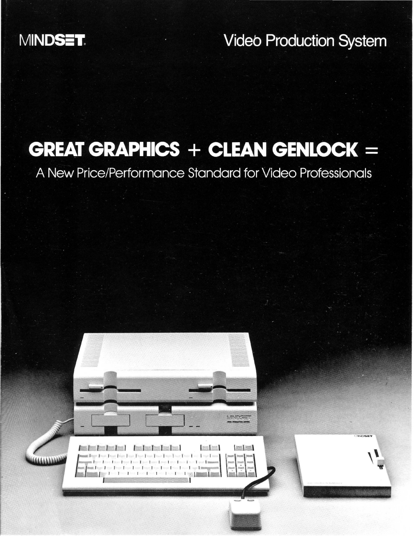## MINDSET.

**Video Production System** 

# **GREAT GRAPHICS + CLEAN GENLOCK =**

A New Price/Performance Standard for Video Professionals

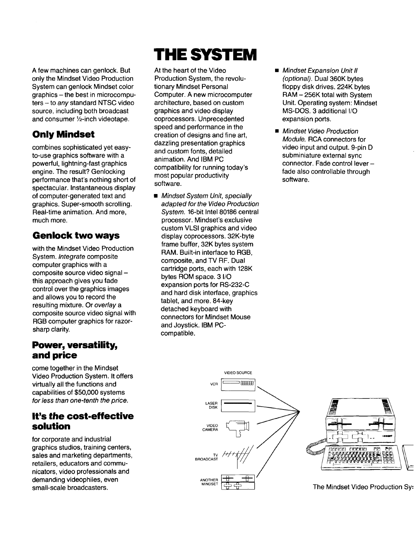A few machines can genlock. But only the Mindset Video Production System can genlock Mindset color graphics - the best in microcomputers - to any standard NTSC video source, including both broadcast and consumer Y2-inch videotape.

### **Only Mindset**

combines sophisticated yet easyto-use graphics software with a powerful, lightning-fast graphics engine. The result? Genlocking performance that's nothing short of spectacular. Instantaneous display of computer-generated text and graphics. Super-smooth scrolling. Real-time animation. And more, much more.

### **Genlock two ways**

with the Mindset Video Production System. Integrate composite computer graphics with a composite source video signal this approach gives you fade control over the graphics images and allows you to record the resulting mixture. Or overlay a composite source video signal with RGB computer graphics for razorsharp clarity.

#### **Power, versatility, and price**

come together in the Mindset Video Production System. It offers virtually all the functions and capabilities of \$50,000 systems for less than one-tenth the price.

#### **It's the cost-effective solution**

for corporate and industrial graphics studios, training centers, sales and marketing departments, retailers, educators and communicators, video professionals and demanding videophiles, even small-scale broadcasters.

# THE SYSTEM

At the heart of the Video Production System, the revolutionary Mindset Personal Computer. A new microcomputer architecture, based on custom graphics and video display coprocessors. Unprecedented speed and performance in the creation of designs and fine art, dazzling presentation graphics and custom fonts, detailed animation. And IBM PC compatibility for running today's most popular productivity software.

**• Mindset System Unit, specially** adapted for the Video Production System. 16-bit Intel 80186 central processor. Mindset's exclusive custom VLSI graphics and video display coprocessors. 32K-byte frame buffer, 32K bytes system RAM. Built-in interface to RGB, composite, and TV RF. Dual cartridge ports, each with 128K bytes ROM space. 3 I/O expansion ports for RS-232-C and hard disk interface, graphics tablet, and more. 84-key detached keyboard with connectors for Mindset Mouse and Joystick. IBM PCcompatible.

- **Mindset Expansion Unit II** (optional). Dual 360K bytes floppy disk drives. 224K bytes RAM - 256K total with System Unit. Operating system: Mindset MS-DOS. 3 additional I/O expansion ports.
- Mindset Video Production Module. RCA connectors for video input and output. 9-pin D subminiature external sync connector. Fade control leverfade also controllable through software.

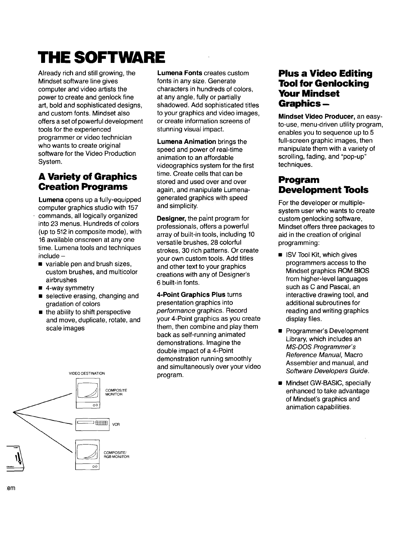# **THE SOFTWARE**

Already rich and stili growing, the Mindset software line gives computer and video artists the power to create and genlock fine art, bold and sophisticated designs, and custom fonts. Mindset also offers a set of powerful development tools for the experienced programmer or video technician who wants to create original software for the Video Production System.

#### **A Variety of Graphics Creation Programs**

**Lumena** opens up a fully-equipped computer graphics studio with 157 commands, all logically organized into 23 menus. Hundreds of colors (up to 512 in composite mode), with 16 available onscreen at anyone time. Lumena tools and techniques  $include-$ 

- variable pen and brush sizes, custom brushes, and multicolor airbrushes
- $\blacksquare$  4-way symmetry
- **selective erasing, changing and** gradation of colors
- $\blacksquare$  the ability to shift perspective and move, duplicate, rotate, and scale images



**Lumena Fonts** creates custom fonts in any size. Generate characters in hundreds of colors, at any angle, fully or partially shadowed. Add sophisticated titles to your graphics and video images, or create information screens of stunning visual impact.

**Lumena Animation** brings the speed and power of real-time animation to an affordable videographics system for the first time. Create cells that can be stored and used over and over again, and manipulate Lumenagenerated graphics with speed and simplicity.

**Designer,** the paint program for professionals, offers a powerful array of built-in tools, including 10 versatile brushes, 28 colorful strokes, 30 rich patterns. Or create your own custom tools. Add titles and other text to your graphics creations with any of DeSigner's 6 built-in fonts.

**4-Point Graphics Plus** turns presentation graphics into performance graphics. Record your 4-Point graphics as you create them, then combine and play them back as self-running animated demonstrations. Imagine the double impact of a 4-Point demonstration running smoothly and simultaneously over your video program.

#### **Plus a Video Editing Tool for Genlocking Your Mindset Graphics-**

**Mindset Video Producer,** an easyto-use, menu-driven utility program, enables you to sequence up to 5 full-screen graphic images, then manipulate them with a variety of scrolling, fading, and "pop-up" techniques.

#### **Program Development Tools**

For the developer or multiplesystem user who wants to create custom genlocking software, Mindset offers three packages to aid in the creation of original programming:

- **ISV Tool Kit, which gives** programmers access to the Mindset graphics ROM BIOS from higher-level languages such as C and Pascal, an interactive drawing tool, and additional subroutines for reading and writing graphics display files.
- **Programmer's Development** Library, which includes an MS-DOS Programmer's Reference Manual, Macro Assembler and manual, and Software Developers Guide.
- **Mindset GW-BASIC, specially** enhanced to take advantage of Mindset's graphics and animation capabilities.